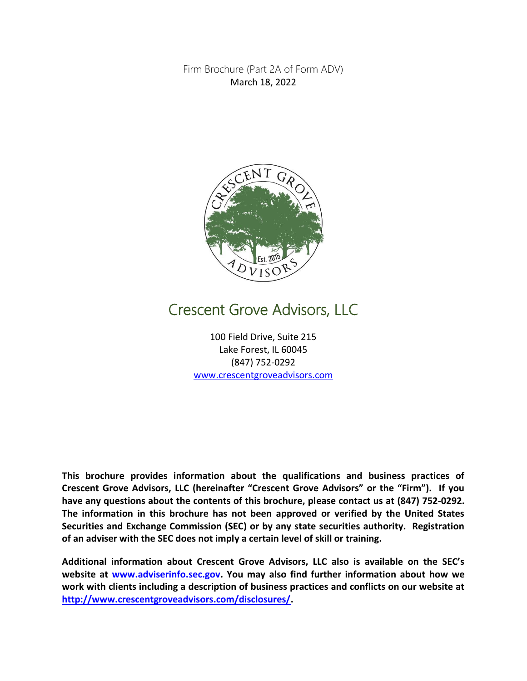Firm Brochure (Part 2A of Form ADV) March 18, 2022



# Crescent Grove Advisors, LLC

100 Field Drive, Suite 215 Lake Forest, IL 60045 (847) 752-0292 [www.crescentgroveadvisors.com](http://www.crescentgroveadvisors.com/)

**This brochure provides information about the qualifications and business practices of Crescent Grove Advisors, LLC (hereinafter "Crescent Grove Advisors" or the "Firm"). If you have any questions about the contents of this brochure, please contact us at (847) 752-0292. The information in this brochure has not been approved or verified by the United States Securities and Exchange Commission (SEC) or by any state securities authority. Registration of an adviser with the SEC does not imply a certain level of skill or training.**

**Additional information about Crescent Grove Advisors, LLC also is available on the SEC's website at [www.adviserinfo.sec.gov.](http://www.adviserinfo.sec.gov/) You may also find further information about how we work with clients including a description of business practices and conflicts on our website at [http://www.crescentgroveadvisors.com/disclosures/.](http://www.crescentgroveadvisors.com/disclosures/)**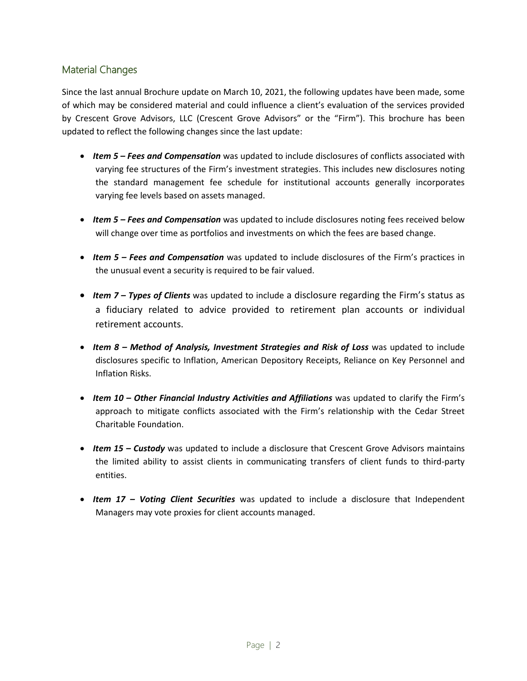# <span id="page-1-0"></span>Material Changes

Since the last annual Brochure update on March 10, 2021, the following updates have been made, some of which may be considered material and could influence a client's evaluation of the services provided by Crescent Grove Advisors, LLC (Crescent Grove Advisors" or the "Firm"). This brochure has been updated to reflect the following changes since the last update:

- *Item 5 – Fees and Compensation* was updated to include disclosures of conflicts associated with varying fee structures of the Firm's investment strategies. This includes new disclosures noting the standard management fee schedule for institutional accounts generally incorporates varying fee levels based on assets managed.
- Item 5 Fees and Compensation was updated to include disclosures noting fees received below will change over time as portfolios and investments on which the fees are based change.
- *Item 5 – Fees and Compensation* was updated to include disclosures of the Firm's practices in the unusual event a security is required to be fair valued.
- *Item 7 – Types of Clients* was updated to include a disclosure regarding the Firm's status as a fiduciary related to advice provided to retirement plan accounts or individual retirement accounts.
- *Item 8 – Method of Analysis, Investment Strategies and Risk of Loss* was updated to include disclosures specific to Inflation, American Depository Receipts, Reliance on Key Personnel and Inflation Risks.
- *Item 10 – Other Financial Industry Activities and Affiliations* was updated to clarify the Firm's approach to mitigate conflicts associated with the Firm's relationship with the Cedar Street Charitable Foundation.
- *Item 15 – Custody* was updated to include a disclosure that Crescent Grove Advisors maintains the limited ability to assist clients in communicating transfers of client funds to third-party entities.
- *Item 17 – Voting Client Securities* was updated to include a disclosure that Independent Managers may vote proxies for client accounts managed.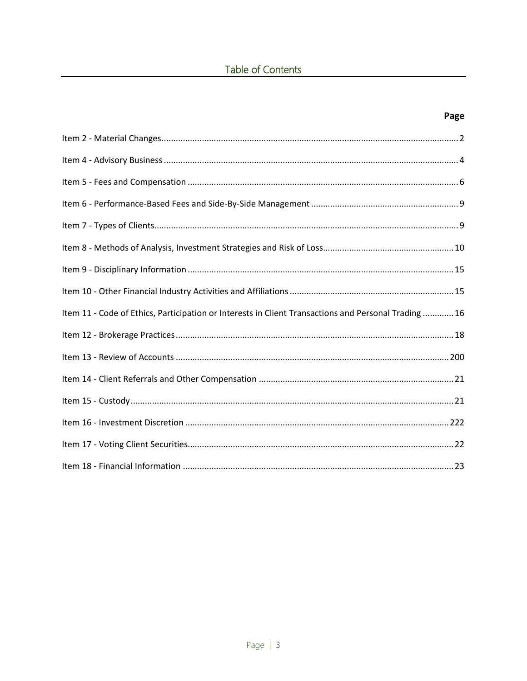| ×<br>v<br>. .<br>× |
|--------------------|
|--------------------|

| Item 11 - Code of Ethics, Participation or Interests in Client Transactions and Personal Trading 16 |  |
|-----------------------------------------------------------------------------------------------------|--|
|                                                                                                     |  |
|                                                                                                     |  |
|                                                                                                     |  |
|                                                                                                     |  |
|                                                                                                     |  |
|                                                                                                     |  |
|                                                                                                     |  |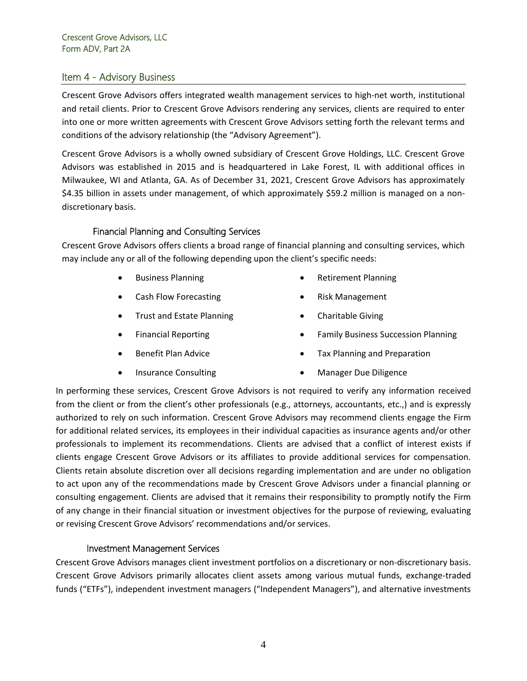## <span id="page-3-0"></span>Item 4 - Advisory Business

Crescent Grove Advisors offers integrated wealth management services to high-net worth, institutional and retail clients. Prior to Crescent Grove Advisors rendering any services, clients are required to enter into one or more written agreements with Crescent Grove Advisors setting forth the relevant terms and conditions of the advisory relationship (the "Advisory Agreement").

Crescent Grove Advisors is a wholly owned subsidiary of Crescent Grove Holdings, LLC. Crescent Grove Advisors was established in 2015 and is headquartered in Lake Forest, IL with additional offices in Milwaukee, WI and Atlanta, GA. As of December 31, 2021, Crescent Grove Advisors has approximately \$4.35 billion in assets under management, of which approximately \$59.2 million is managed on a nondiscretionary basis.

# Financial Planning and Consulting Services

Crescent Grove Advisors offers clients a broad range of financial planning and consulting services, which may include any or all of the following depending upon the client's specific needs:

- Business Planning
- Cash Flow Forecasting
- Trust and Estate Planning
- Financial Reporting
- Benefit Plan Advice
- Insurance Consulting
- Retirement Planning
- Risk Management
- Charitable Giving
- Family Business Succession Planning
- Tax Planning and Preparation
- Manager Due Diligence

In performing these services, Crescent Grove Advisors is not required to verify any information received from the client or from the client's other professionals (e.g., attorneys, accountants, etc.,) and is expressly authorized to rely on such information. Crescent Grove Advisors may recommend clients engage the Firm for additional related services, its employees in their individual capacities as insurance agents and/or other professionals to implement its recommendations. Clients are advised that a conflict of interest exists if clients engage Crescent Grove Advisors or its affiliates to provide additional services for compensation. Clients retain absolute discretion over all decisions regarding implementation and are under no obligation to act upon any of the recommendations made by Crescent Grove Advisors under a financial planning or consulting engagement. Clients are advised that it remains their responsibility to promptly notify the Firm of any change in their financial situation or investment objectives for the purpose of reviewing, evaluating or revising Crescent Grove Advisors' recommendations and/or services.

## Investment Management Services

Crescent Grove Advisors manages client investment portfolios on a discretionary or non-discretionary basis. Crescent Grove Advisors primarily allocates client assets among various mutual funds, exchange-traded funds ("ETFs"), independent investment managers ("Independent Managers"), and alternative investments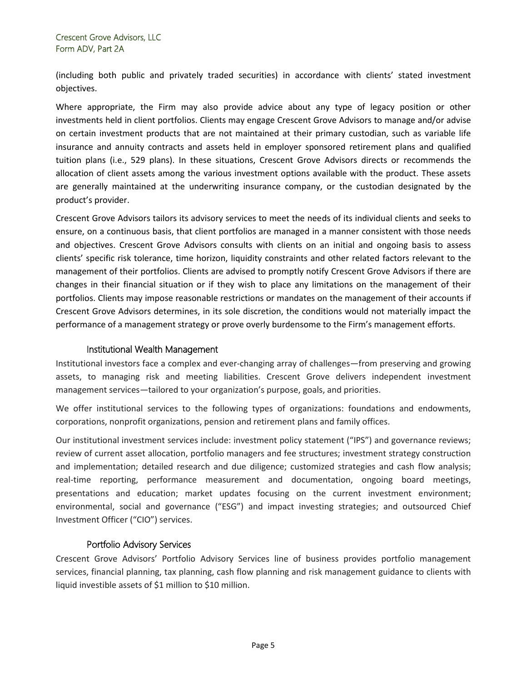(including both public and privately traded securities) in accordance with clients' stated investment objectives.

Where appropriate, the Firm may also provide advice about any type of legacy position or other investments held in client portfolios. Clients may engage Crescent Grove Advisors to manage and/or advise on certain investment products that are not maintained at their primary custodian, such as variable life insurance and annuity contracts and assets held in employer sponsored retirement plans and qualified tuition plans (i.e., 529 plans). In these situations, Crescent Grove Advisors directs or recommends the allocation of client assets among the various investment options available with the product. These assets are generally maintained at the underwriting insurance company, or the custodian designated by the product's provider.

Crescent Grove Advisors tailors its advisory services to meet the needs of its individual clients and seeks to ensure, on a continuous basis, that client portfolios are managed in a manner consistent with those needs and objectives. Crescent Grove Advisors consults with clients on an initial and ongoing basis to assess clients' specific risk tolerance, time horizon, liquidity constraints and other related factors relevant to the management of their portfolios. Clients are advised to promptly notify Crescent Grove Advisors if there are changes in their financial situation or if they wish to place any limitations on the management of their portfolios. Clients may impose reasonable restrictions or mandates on the management of their accounts if Crescent Grove Advisors determines, in its sole discretion, the conditions would not materially impact the performance of a management strategy or prove overly burdensome to the Firm's management efforts.

## Institutional Wealth Management

Institutional investors face a complex and ever-changing array of challenges—from preserving and growing assets, to managing risk and meeting liabilities. Crescent Grove delivers independent investment management services—tailored to your organization's purpose, goals, and priorities.

We offer institutional services to the following types of organizations: foundations and endowments, corporations, nonprofit organizations, pension and retirement plans and family offices.

Our institutional investment services include: investment policy statement ("IPS") and governance reviews; review of current asset allocation, portfolio managers and fee structures; investment strategy construction and implementation; detailed research and due diligence; customized strategies and cash flow analysis; real-time reporting, performance measurement and documentation, ongoing board meetings, presentations and education; market updates focusing on the current investment environment; environmental, social and governance ("ESG") and impact investing strategies; and outsourced Chief Investment Officer ("CIO") services.

## Portfolio Advisory Services

Crescent Grove Advisors' Portfolio Advisory Services line of business provides portfolio management services, financial planning, tax planning, cash flow planning and risk management guidance to clients with liquid investible assets of \$1 million to \$10 million.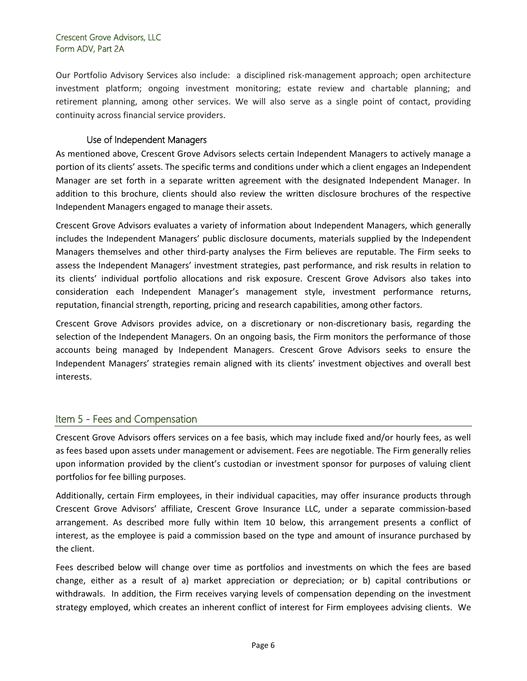Our Portfolio Advisory Services also include: a disciplined risk-management approach; open architecture investment platform; ongoing investment monitoring; estate review and chartable planning; and retirement planning, among other services. We will also serve as a single point of contact, providing continuity across financial service providers.

#### Use of Independent Managers

As mentioned above, Crescent Grove Advisors selects certain Independent Managers to actively manage a portion of its clients' assets. The specific terms and conditions under which a client engages an Independent Manager are set forth in a separate written agreement with the designated Independent Manager. In addition to this brochure, clients should also review the written disclosure brochures of the respective Independent Managers engaged to manage their assets.

Crescent Grove Advisors evaluates a variety of information about Independent Managers, which generally includes the Independent Managers' public disclosure documents, materials supplied by the Independent Managers themselves and other third-party analyses the Firm believes are reputable. The Firm seeks to assess the Independent Managers' investment strategies, past performance, and risk results in relation to its clients' individual portfolio allocations and risk exposure. Crescent Grove Advisors also takes into consideration each Independent Manager's management style, investment performance returns, reputation, financial strength, reporting, pricing and research capabilities, among other factors.

Crescent Grove Advisors provides advice, on a discretionary or non-discretionary basis, regarding the selection of the Independent Managers. On an ongoing basis, the Firm monitors the performance of those accounts being managed by Independent Managers. Crescent Grove Advisors seeks to ensure the Independent Managers' strategies remain aligned with its clients' investment objectives and overall best interests.

# <span id="page-5-0"></span>Item 5 - Fees and Compensation

Crescent Grove Advisors offers services on a fee basis, which may include fixed and/or hourly fees, as well as fees based upon assets under management or advisement. Fees are negotiable. The Firm generally relies upon information provided by the client's custodian or investment sponsor for purposes of valuing client portfolios for fee billing purposes.

Additionally, certain Firm employees, in their individual capacities, may offer insurance products through Crescent Grove Advisors' affiliate, Crescent Grove Insurance LLC, under a separate commission-based arrangement. As described more fully within Item 10 below, this arrangement presents a conflict of interest, as the employee is paid a commission based on the type and amount of insurance purchased by the client.

Fees described below will change over time as portfolios and investments on which the fees are based change, either as a result of a) market appreciation or depreciation; or b) capital contributions or withdrawals. In addition, the Firm receives varying levels of compensation depending on the investment strategy employed, which creates an inherent conflict of interest for Firm employees advising clients. We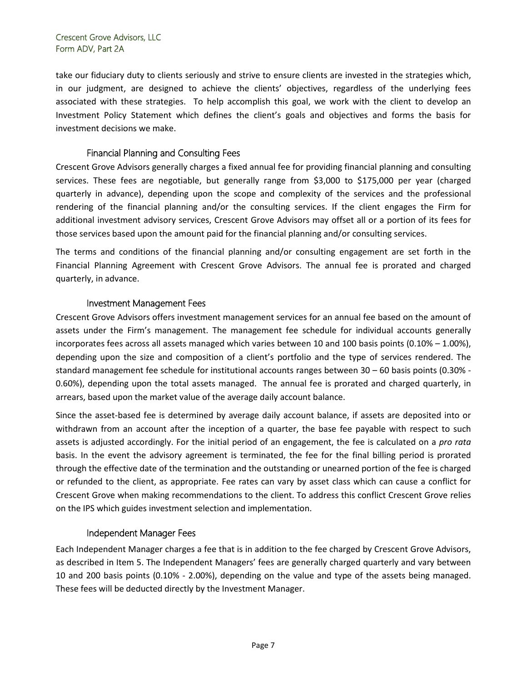take our fiduciary duty to clients seriously and strive to ensure clients are invested in the strategies which, in our judgment, are designed to achieve the clients' objectives, regardless of the underlying fees associated with these strategies. To help accomplish this goal, we work with the client to develop an Investment Policy Statement which defines the client's goals and objectives and forms the basis for investment decisions we make.

# Financial Planning and Consulting Fees

Crescent Grove Advisors generally charges a fixed annual fee for providing financial planning and consulting services. These fees are negotiable, but generally range from \$3,000 to \$175,000 per year (charged quarterly in advance), depending upon the scope and complexity of the services and the professional rendering of the financial planning and/or the consulting services. If the client engages the Firm for additional investment advisory services, Crescent Grove Advisors may offset all or a portion of its fees for those services based upon the amount paid for the financial planning and/or consulting services.

The terms and conditions of the financial planning and/or consulting engagement are set forth in the Financial Planning Agreement with Crescent Grove Advisors. The annual fee is prorated and charged quarterly, in advance.

# Investment Management Fees

Crescent Grove Advisors offers investment management services for an annual fee based on the amount of assets under the Firm's management. The management fee schedule for individual accounts generally incorporates fees across all assets managed which varies between 10 and 100 basis points (0.10% – 1.00%), depending upon the size and composition of a client's portfolio and the type of services rendered. The standard management fee schedule for institutional accounts ranges between 30 – 60 basis points (0.30% - 0.60%), depending upon the total assets managed. The annual fee is prorated and charged quarterly, in arrears, based upon the market value of the average daily account balance.

Since the asset-based fee is determined by average daily account balance, if assets are deposited into or withdrawn from an account after the inception of a quarter, the base fee payable with respect to such assets is adjusted accordingly. For the initial period of an engagement, the fee is calculated on a *pro rata*  basis. In the event the advisory agreement is terminated, the fee for the final billing period is prorated through the effective date of the termination and the outstanding or unearned portion of the fee is charged or refunded to the client, as appropriate. Fee rates can vary by asset class which can cause a conflict for Crescent Grove when making recommendations to the client. To address this conflict Crescent Grove relies on the IPS which guides investment selection and implementation.

## Independent Manager Fees

Each Independent Manager charges a fee that is in addition to the fee charged by Crescent Grove Advisors, as described in Item 5. The Independent Managers' fees are generally charged quarterly and vary between 10 and 200 basis points (0.10% - 2.00%), depending on the value and type of the assets being managed. These fees will be deducted directly by the Investment Manager.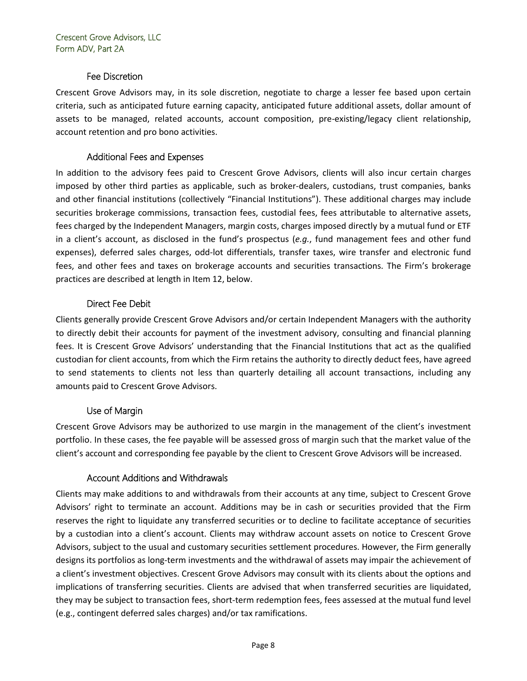## Fee Discretion

Crescent Grove Advisors may, in its sole discretion, negotiate to charge a lesser fee based upon certain criteria, such as anticipated future earning capacity, anticipated future additional assets, dollar amount of assets to be managed, related accounts, account composition, pre-existing/legacy client relationship, account retention and pro bono activities.

# Additional Fees and Expenses

In addition to the advisory fees paid to Crescent Grove Advisors, clients will also incur certain charges imposed by other third parties as applicable, such as broker-dealers, custodians, trust companies, banks and other financial institutions (collectively "Financial Institutions"). These additional charges may include securities brokerage commissions, transaction fees, custodial fees, fees attributable to alternative assets, fees charged by the Independent Managers, margin costs, charges imposed directly by a mutual fund or ETF in a client's account, as disclosed in the fund's prospectus (*e.g.*, fund management fees and other fund expenses), deferred sales charges, odd-lot differentials, transfer taxes, wire transfer and electronic fund fees, and other fees and taxes on brokerage accounts and securities transactions. The Firm's brokerage practices are described at length in Item 12, below.

# Direct Fee Debit

Clients generally provide Crescent Grove Advisors and/or certain Independent Managers with the authority to directly debit their accounts for payment of the investment advisory, consulting and financial planning fees. It is Crescent Grove Advisors' understanding that the Financial Institutions that act as the qualified custodian for client accounts, from which the Firm retains the authority to directly deduct fees, have agreed to send statements to clients not less than quarterly detailing all account transactions, including any amounts paid to Crescent Grove Advisors.

## Use of Margin

Crescent Grove Advisors may be authorized to use margin in the management of the client's investment portfolio. In these cases, the fee payable will be assessed gross of margin such that the market value of the client's account and corresponding fee payable by the client to Crescent Grove Advisors will be increased.

## Account Additions and Withdrawals

Clients may make additions to and withdrawals from their accounts at any time, subject to Crescent Grove Advisors' right to terminate an account. Additions may be in cash or securities provided that the Firm reserves the right to liquidate any transferred securities or to decline to facilitate acceptance of securities by a custodian into a client's account. Clients may withdraw account assets on notice to Crescent Grove Advisors, subject to the usual and customary securities settlement procedures. However, the Firm generally designs its portfolios as long-term investments and the withdrawal of assets may impair the achievement of a client's investment objectives. Crescent Grove Advisors may consult with its clients about the options and implications of transferring securities. Clients are advised that when transferred securities are liquidated, they may be subject to transaction fees, short-term redemption fees, fees assessed at the mutual fund level (e.g., contingent deferred sales charges) and/or tax ramifications.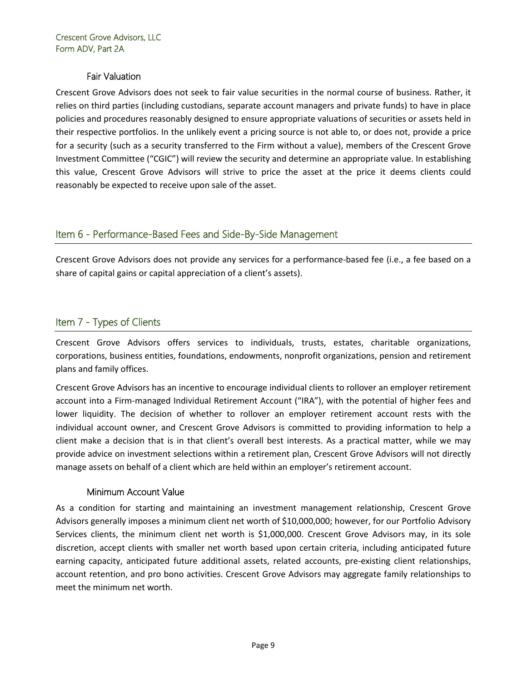## Fair Valuation

Crescent Grove Advisors does not seek to fair value securities in the normal course of business. Rather, it relies on third parties (including custodians, separate account managers and private funds) to have in place policies and procedures reasonably designed to ensure appropriate valuations of securities or assets held in their respective portfolios. In the unlikely event a pricing source is not able to, or does not, provide a price for a security (such as a security transferred to the Firm without a value), members of the Crescent Grove Investment Committee ("CGIC") will review the security and determine an appropriate value. In establishing this value, Crescent Grove Advisors will strive to price the asset at the price it deems clients could reasonably be expected to receive upon sale of the asset.

# <span id="page-8-0"></span>Item 6 - Performance-Based Fees and Side-By-Side Management

Crescent Grove Advisors does not provide any services for a performance-based fee (i.e., a fee based on a share of capital gains or capital appreciation of a client's assets).

# <span id="page-8-1"></span>Item 7 - Types of Clients

Crescent Grove Advisors offers services to individuals, trusts, estates, charitable organizations, corporations, business entities, foundations, endowments, nonprofit organizations, pension and retirement plans and family offices.

Crescent Grove Advisors has an incentive to encourage individual clients to rollover an employer retirement account into a Firm-managed Individual Retirement Account ("IRA"), with the potential of higher fees and lower liquidity. The decision of whether to rollover an employer retirement account rests with the individual account owner, and Crescent Grove Advisors is committed to providing information to help a client make a decision that is in that client's overall best interests. As a practical matter, while we may provide advice on investment selections within a retirement plan, Crescent Grove Advisors will not directly manage assets on behalf of a client which are held within an employer's retirement account.

## Minimum Account Value

As a condition for starting and maintaining an investment management relationship, Crescent Grove Advisors generally imposes a minimum client net worth of \$10,000,000; however, for our Portfolio Advisory Services clients, the minimum client net worth is \$1,000,000. Crescent Grove Advisors may, in its sole discretion, accept clients with smaller net worth based upon certain criteria, including anticipated future earning capacity, anticipated future additional assets, related accounts, pre-existing client relationships, account retention, and pro bono activities. Crescent Grove Advisors may aggregate family relationships to meet the minimum net worth.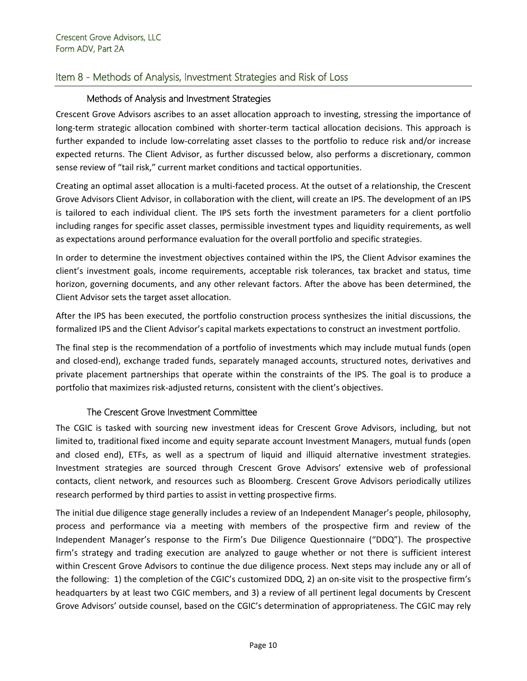# <span id="page-9-0"></span>Item 8 - Methods of Analysis, Investment Strategies and Risk of Loss

## Methods of Analysis and Investment Strategies

Crescent Grove Advisors ascribes to an asset allocation approach to investing, stressing the importance of long-term strategic allocation combined with shorter-term tactical allocation decisions. This approach is further expanded to include low-correlating asset classes to the portfolio to reduce risk and/or increase expected returns. The Client Advisor, as further discussed below, also performs a discretionary, common sense review of "tail risk," current market conditions and tactical opportunities.

Creating an optimal asset allocation is a multi-faceted process. At the outset of a relationship, the Crescent Grove Advisors Client Advisor, in collaboration with the client, will create an IPS. The development of an IPS is tailored to each individual client. The IPS sets forth the investment parameters for a client portfolio including ranges for specific asset classes, permissible investment types and liquidity requirements, as well as expectations around performance evaluation for the overall portfolio and specific strategies.

In order to determine the investment objectives contained within the IPS, the Client Advisor examines the client's investment goals, income requirements, acceptable risk tolerances, tax bracket and status, time horizon, governing documents, and any other relevant factors. After the above has been determined, the Client Advisor sets the target asset allocation.

After the IPS has been executed, the portfolio construction process synthesizes the initial discussions, the formalized IPS and the Client Advisor's capital markets expectations to construct an investment portfolio.

The final step is the recommendation of a portfolio of investments which may include mutual funds (open and closed-end), exchange traded funds, separately managed accounts, structured notes, derivatives and private placement partnerships that operate within the constraints of the IPS. The goal is to produce a portfolio that maximizes risk-adjusted returns, consistent with the client's objectives.

# The Crescent Grove Investment Committee

The CGIC is tasked with sourcing new investment ideas for Crescent Grove Advisors, including, but not limited to, traditional fixed income and equity separate account Investment Managers, mutual funds (open and closed end), ETFs, as well as a spectrum of liquid and illiquid alternative investment strategies. Investment strategies are sourced through Crescent Grove Advisors' extensive web of professional contacts, client network, and resources such as Bloomberg. Crescent Grove Advisors periodically utilizes research performed by third parties to assist in vetting prospective firms.

The initial due diligence stage generally includes a review of an Independent Manager's people, philosophy, process and performance via a meeting with members of the prospective firm and review of the Independent Manager's response to the Firm's Due Diligence Questionnaire ("DDQ"). The prospective firm's strategy and trading execution are analyzed to gauge whether or not there is sufficient interest within Crescent Grove Advisors to continue the due diligence process. Next steps may include any or all of the following: 1) the completion of the CGIC's customized DDQ, 2) an on-site visit to the prospective firm's headquarters by at least two CGIC members, and 3) a review of all pertinent legal documents by Crescent Grove Advisors' outside counsel, based on the CGIC's determination of appropriateness. The CGIC may rely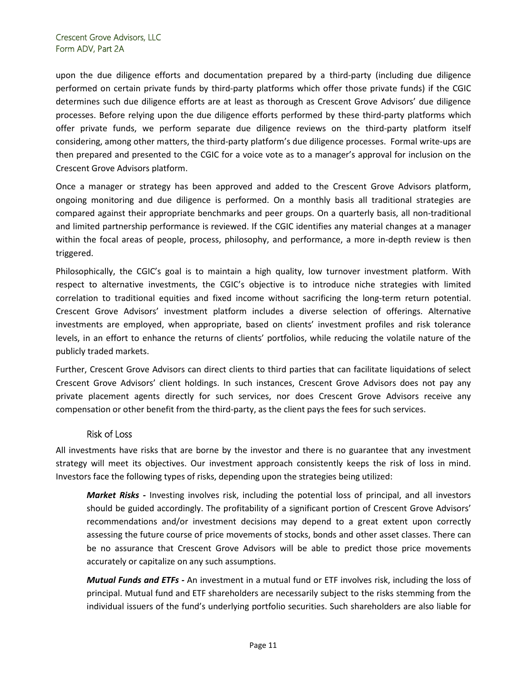upon the due diligence efforts and documentation prepared by a third-party (including due diligence performed on certain private funds by third-party platforms which offer those private funds) if the CGIC determines such due diligence efforts are at least as thorough as Crescent Grove Advisors' due diligence processes. Before relying upon the due diligence efforts performed by these third-party platforms which offer private funds, we perform separate due diligence reviews on the third-party platform itself considering, among other matters, the third-party platform's due diligence processes. Formal write-ups are then prepared and presented to the CGIC for a voice vote as to a manager's approval for inclusion on the Crescent Grove Advisors platform.

Once a manager or strategy has been approved and added to the Crescent Grove Advisors platform, ongoing monitoring and due diligence is performed. On a monthly basis all traditional strategies are compared against their appropriate benchmarks and peer groups. On a quarterly basis, all non-traditional and limited partnership performance is reviewed. If the CGIC identifies any material changes at a manager within the focal areas of people, process, philosophy, and performance, a more in-depth review is then triggered.

Philosophically, the CGIC's goal is to maintain a high quality, low turnover investment platform. With respect to alternative investments, the CGIC's objective is to introduce niche strategies with limited correlation to traditional equities and fixed income without sacrificing the long-term return potential. Crescent Grove Advisors' investment platform includes a diverse selection of offerings. Alternative investments are employed, when appropriate, based on clients' investment profiles and risk tolerance levels, in an effort to enhance the returns of clients' portfolios, while reducing the volatile nature of the publicly traded markets.

Further, Crescent Grove Advisors can direct clients to third parties that can facilitate liquidations of select Crescent Grove Advisors' client holdings. In such instances, Crescent Grove Advisors does not pay any private placement agents directly for such services, nor does Crescent Grove Advisors receive any compensation or other benefit from the third-party, as the client pays the fees for such services.

## Risk of Loss

All investments have risks that are borne by the investor and there is no guarantee that any investment strategy will meet its objectives. Our investment approach consistently keeps the risk of loss in mind. Investors face the following types of risks, depending upon the strategies being utilized:

*Market Risks -* Investing involves risk, including the potential loss of principal, and all investors should be guided accordingly. The profitability of a significant portion of Crescent Grove Advisors' recommendations and/or investment decisions may depend to a great extent upon correctly assessing the future course of price movements of stocks, bonds and other asset classes. There can be no assurance that Crescent Grove Advisors will be able to predict those price movements accurately or capitalize on any such assumptions.

*Mutual Funds and ETFs -* An investment in a mutual fund or ETF involves risk, including the loss of principal. Mutual fund and ETF shareholders are necessarily subject to the risks stemming from the individual issuers of the fund's underlying portfolio securities. Such shareholders are also liable for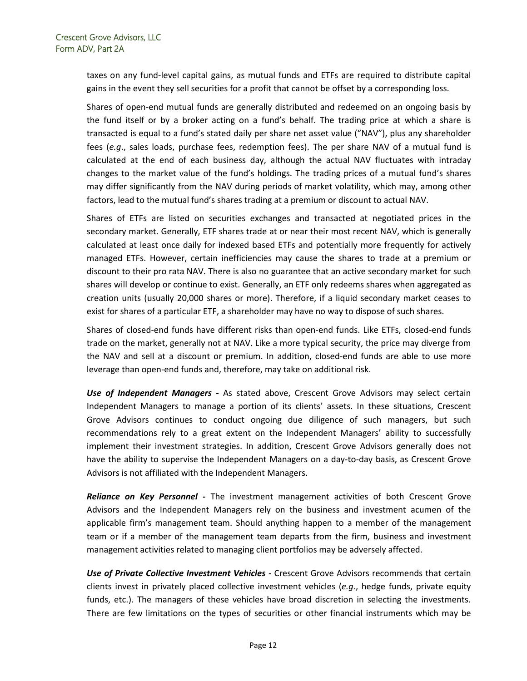taxes on any fund-level capital gains, as mutual funds and ETFs are required to distribute capital gains in the event they sell securities for a profit that cannot be offset by a corresponding loss.

Shares of open-end mutual funds are generally distributed and redeemed on an ongoing basis by the fund itself or by a broker acting on a fund's behalf. The trading price at which a share is transacted is equal to a fund's stated daily per share net asset value ("NAV"), plus any shareholder fees (*e.g*., sales loads, purchase fees, redemption fees). The per share NAV of a mutual fund is calculated at the end of each business day, although the actual NAV fluctuates with intraday changes to the market value of the fund's holdings. The trading prices of a mutual fund's shares may differ significantly from the NAV during periods of market volatility, which may, among other factors, lead to the mutual fund's shares trading at a premium or discount to actual NAV.

Shares of ETFs are listed on securities exchanges and transacted at negotiated prices in the secondary market. Generally, ETF shares trade at or near their most recent NAV, which is generally calculated at least once daily for indexed based ETFs and potentially more frequently for actively managed ETFs. However, certain inefficiencies may cause the shares to trade at a premium or discount to their pro rata NAV. There is also no guarantee that an active secondary market for such shares will develop or continue to exist. Generally, an ETF only redeems shares when aggregated as creation units (usually 20,000 shares or more). Therefore, if a liquid secondary market ceases to exist for shares of a particular ETF, a shareholder may have no way to dispose of such shares.

Shares of closed-end funds have different risks than open-end funds. Like ETFs, closed-end funds trade on the market, generally not at NAV. Like a more typical security, the price may diverge from the NAV and sell at a discount or premium. In addition, closed-end funds are able to use more leverage than open-end funds and, therefore, may take on additional risk.

*Use of Independent Managers -* As stated above, Crescent Grove Advisors may select certain Independent Managers to manage a portion of its clients' assets. In these situations, Crescent Grove Advisors continues to conduct ongoing due diligence of such managers, but such recommendations rely to a great extent on the Independent Managers' ability to successfully implement their investment strategies. In addition, Crescent Grove Advisors generally does not have the ability to supervise the Independent Managers on a day-to-day basis, as Crescent Grove Advisors is not affiliated with the Independent Managers.

*Reliance on Key Personnel -* The investment management activities of both Crescent Grove Advisors and the Independent Managers rely on the business and investment acumen of the applicable firm's management team. Should anything happen to a member of the management team or if a member of the management team departs from the firm, business and investment management activities related to managing client portfolios may be adversely affected.

*Use of Private Collective Investment Vehicles -* Crescent Grove Advisors recommends that certain clients invest in privately placed collective investment vehicles (*e.g*., hedge funds, private equity funds, etc.). The managers of these vehicles have broad discretion in selecting the investments. There are few limitations on the types of securities or other financial instruments which may be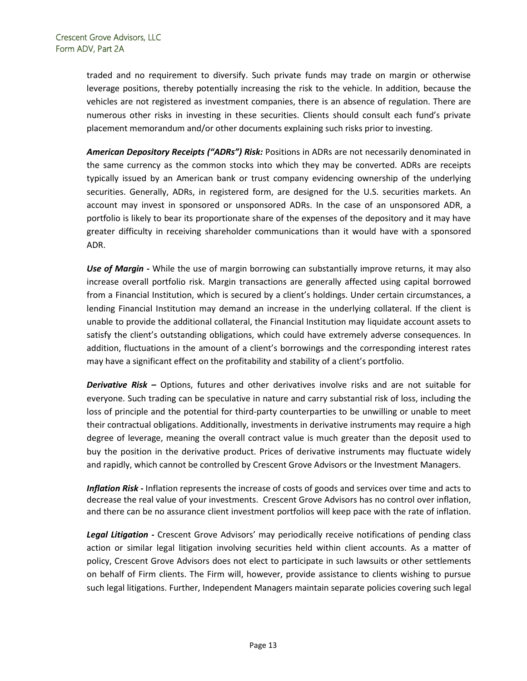traded and no requirement to diversify. Such private funds may trade on margin or otherwise leverage positions, thereby potentially increasing the risk to the vehicle. In addition, because the vehicles are not registered as investment companies, there is an absence of regulation. There are numerous other risks in investing in these securities. Clients should consult each fund's private placement memorandum and/or other documents explaining such risks prior to investing.

*American Depository Receipts ("ADRs") Risk:* Positions in ADRs are not necessarily denominated in the same currency as the common stocks into which they may be converted. ADRs are receipts typically issued by an American bank or trust company evidencing ownership of the underlying securities. Generally, ADRs, in registered form, are designed for the U.S. securities markets. An account may invest in sponsored or unsponsored ADRs. In the case of an unsponsored ADR, a portfolio is likely to bear its proportionate share of the expenses of the depository and it may have greater difficulty in receiving shareholder communications than it would have with a sponsored ADR.

*Use of Margin -* While the use of margin borrowing can substantially improve returns, it may also increase overall portfolio risk. Margin transactions are generally affected using capital borrowed from a Financial Institution, which is secured by a client's holdings. Under certain circumstances, a lending Financial Institution may demand an increase in the underlying collateral. If the client is unable to provide the additional collateral, the Financial Institution may liquidate account assets to satisfy the client's outstanding obligations, which could have extremely adverse consequences. In addition, fluctuations in the amount of a client's borrowings and the corresponding interest rates may have a significant effect on the profitability and stability of a client's portfolio.

*Derivative Risk –* Options, futures and other derivatives involve risks and are not suitable for everyone. Such trading can be speculative in nature and carry substantial risk of loss, including the loss of principle and the potential for third-party counterparties to be unwilling or unable to meet their contractual obligations. Additionally, investments in derivative instruments may require a high degree of leverage, meaning the overall contract value is much greater than the deposit used to buy the position in the derivative product. Prices of derivative instruments may fluctuate widely and rapidly, which cannot be controlled by Crescent Grove Advisors or the Investment Managers.

*Inflation Risk -* Inflation represents the increase of costs of goods and services over time and acts to decrease the real value of your investments. Crescent Grove Advisors has no control over inflation, and there can be no assurance client investment portfolios will keep pace with the rate of inflation.

*Legal Litigation -* Crescent Grove Advisors' may periodically receive notifications of pending class action or similar legal litigation involving securities held within client accounts. As a matter of policy, Crescent Grove Advisors does not elect to participate in such lawsuits or other settlements on behalf of Firm clients. The Firm will, however, provide assistance to clients wishing to pursue such legal litigations. Further, Independent Managers maintain separate policies covering such legal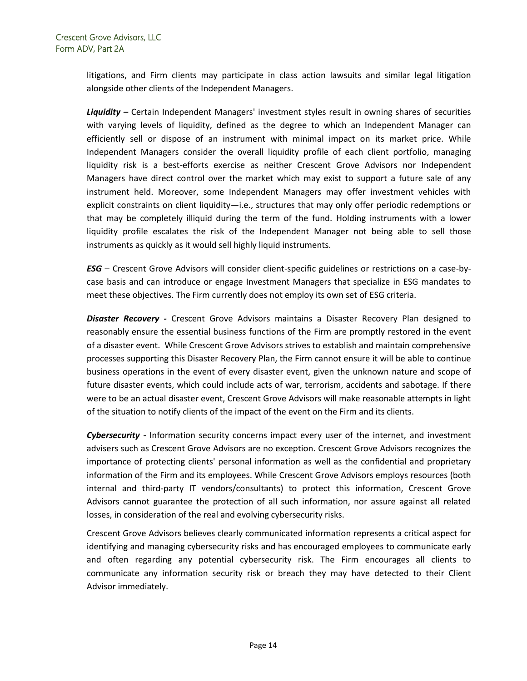litigations, and Firm clients may participate in class action lawsuits and similar legal litigation alongside other clients of the Independent Managers.

*Liquidity –* Certain Independent Managers' investment styles result in owning shares of securities with varying levels of liquidity, defined as the degree to which an Independent Manager can efficiently sell or dispose of an instrument with minimal impact on its market price. While Independent Managers consider the overall liquidity profile of each client portfolio, managing liquidity risk is a best-efforts exercise as neither Crescent Grove Advisors nor Independent Managers have direct control over the market which may exist to support a future sale of any instrument held. Moreover, some Independent Managers may offer investment vehicles with explicit constraints on client liquidity—i.e., structures that may only offer periodic redemptions or that may be completely illiquid during the term of the fund. Holding instruments with a lower liquidity profile escalates the risk of the Independent Manager not being able to sell those instruments as quickly as it would sell highly liquid instruments.

*ESG* – Crescent Grove Advisors will consider client-specific guidelines or restrictions on a case-bycase basis and can introduce or engage Investment Managers that specialize in ESG mandates to meet these objectives. The Firm currently does not employ its own set of ESG criteria.

*Disaster Recovery -* Crescent Grove Advisors maintains a Disaster Recovery Plan designed to reasonably ensure the essential business functions of the Firm are promptly restored in the event of a disaster event. While Crescent Grove Advisors strives to establish and maintain comprehensive processes supporting this Disaster Recovery Plan, the Firm cannot ensure it will be able to continue business operations in the event of every disaster event, given the unknown nature and scope of future disaster events, which could include acts of war, terrorism, accidents and sabotage. If there were to be an actual disaster event, Crescent Grove Advisors will make reasonable attempts in light of the situation to notify clients of the impact of the event on the Firm and its clients.

*Cybersecurity -* Information security concerns impact every user of the internet, and investment advisers such as Crescent Grove Advisors are no exception. Crescent Grove Advisors recognizes the importance of protecting clients' personal information as well as the confidential and proprietary information of the Firm and its employees. While Crescent Grove Advisors employs resources (both internal and third-party IT vendors/consultants) to protect this information, Crescent Grove Advisors cannot guarantee the protection of all such information, nor assure against all related losses, in consideration of the real and evolving cybersecurity risks.

Crescent Grove Advisors believes clearly communicated information represents a critical aspect for identifying and managing cybersecurity risks and has encouraged employees to communicate early and often regarding any potential cybersecurity risk. The Firm encourages all clients to communicate any information security risk or breach they may have detected to their Client Advisor immediately.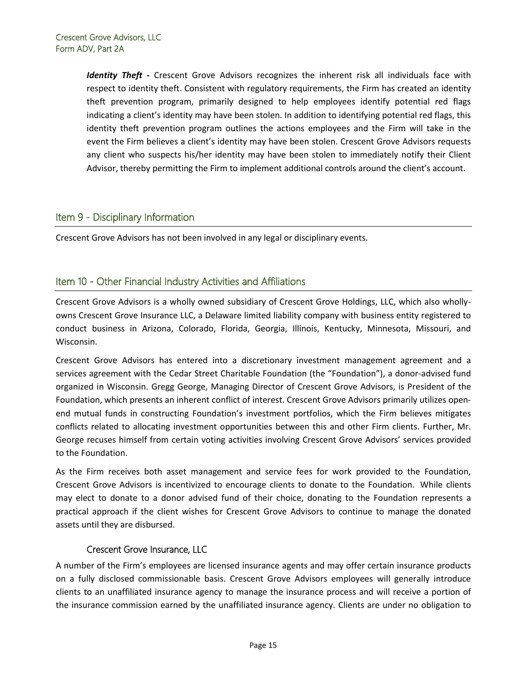*Identity Theft -* Crescent Grove Advisors recognizes the inherent risk all individuals face with respect to identity theft. Consistent with regulatory requirements, the Firm has created an identity theft prevention program, primarily designed to help employees identify potential red flags indicating a client's identity may have been stolen. In addition to identifying potential red flags, this identity theft prevention program outlines the actions employees and the Firm will take in the event the Firm believes a client's identity may have been stolen. Crescent Grove Advisors requests any client who suspects his/her identity may have been stolen to immediately notify their Client Advisor, thereby permitting the Firm to implement additional controls around the client's account.

# <span id="page-14-0"></span>Item 9 - Disciplinary Information

Crescent Grove Advisors has not been involved in any legal or disciplinary events.

# <span id="page-14-1"></span>Item 10 - Other Financial Industry Activities and Affiliations

Crescent Grove Advisors is a wholly owned subsidiary of Crescent Grove Holdings, LLC, which also whollyowns Crescent Grove Insurance LLC, a Delaware limited liability company with business entity registered to conduct business in Arizona, Colorado, Florida, Georgia, Illinois, Kentucky, Minnesota, Missouri, and Wisconsin.

Crescent Grove Advisors has entered into a discretionary investment management agreement and a services agreement with the Cedar Street Charitable Foundation (the "Foundation"), a donor-advised fund organized in Wisconsin. Gregg George, Managing Director of Crescent Grove Advisors, is President of the Foundation, which presents an inherent conflict of interest. Crescent Grove Advisors primarily utilizes openend mutual funds in constructing Foundation's investment portfolios, which the Firm believes mitigates conflicts related to allocating investment opportunities between this and other Firm clients. Further, Mr. George recuses himself from certain voting activities involving Crescent Grove Advisors' services provided to the Foundation.

As the Firm receives both asset management and service fees for work provided to the Foundation, Crescent Grove Advisors is incentivized to encourage clients to donate to the Foundation. While clients may elect to donate to a donor advised fund of their choice, donating to the Foundation represents a practical approach if the client wishes for Crescent Grove Advisors to continue to manage the donated assets until they are disbursed.

## Crescent Grove Insurance, LLC

A number of the Firm's employees are licensed insurance agents and may offer certain insurance products on a fully disclosed commissionable basis. Crescent Grove Advisors employees will generally introduce clients to an unaffiliated insurance agency to manage the insurance process and will receive a portion of the insurance commission earned by the unaffiliated insurance agency. Clients are under no obligation to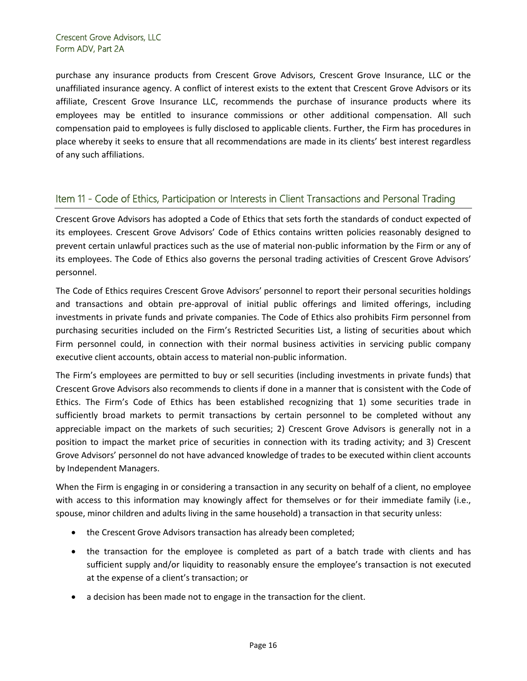purchase any insurance products from Crescent Grove Advisors, Crescent Grove Insurance, LLC or the unaffiliated insurance agency. A conflict of interest exists to the extent that Crescent Grove Advisors or its affiliate, Crescent Grove Insurance LLC, recommends the purchase of insurance products where its employees may be entitled to insurance commissions or other additional compensation. All such compensation paid to employees is fully disclosed to applicable clients. Further, the Firm has procedures in place whereby it seeks to ensure that all recommendations are made in its clients' best interest regardless of any such affiliations.

# <span id="page-15-0"></span>Item 11 - Code of Ethics, Participation or Interests in Client Transactions and Personal Trading

Crescent Grove Advisors has adopted a Code of Ethics that sets forth the standards of conduct expected of its employees. Crescent Grove Advisors' Code of Ethics contains written policies reasonably designed to prevent certain unlawful practices such as the use of material non-public information by the Firm or any of its employees. The Code of Ethics also governs the personal trading activities of Crescent Grove Advisors' personnel.

The Code of Ethics requires Crescent Grove Advisors' personnel to report their personal securities holdings and transactions and obtain pre-approval of initial public offerings and limited offerings, including investments in private funds and private companies. The Code of Ethics also prohibits Firm personnel from purchasing securities included on the Firm's Restricted Securities List, a listing of securities about which Firm personnel could, in connection with their normal business activities in servicing public company executive client accounts, obtain access to material non-public information.

The Firm's employees are permitted to buy or sell securities (including investments in private funds) that Crescent Grove Advisors also recommends to clients if done in a manner that is consistent with the Code of Ethics. The Firm's Code of Ethics has been established recognizing that 1) some securities trade in sufficiently broad markets to permit transactions by certain personnel to be completed without any appreciable impact on the markets of such securities; 2) Crescent Grove Advisors is generally not in a position to impact the market price of securities in connection with its trading activity; and 3) Crescent Grove Advisors' personnel do not have advanced knowledge of trades to be executed within client accounts by Independent Managers.

When the Firm is engaging in or considering a transaction in any security on behalf of a client, no employee with access to this information may knowingly affect for themselves or for their immediate family (i.e., spouse, minor children and adults living in the same household) a transaction in that security unless:

- the Crescent Grove Advisors transaction has already been completed;
- the transaction for the employee is completed as part of a batch trade with clients and has sufficient supply and/or liquidity to reasonably ensure the employee's transaction is not executed at the expense of a client's transaction; or
- a decision has been made not to engage in the transaction for the client.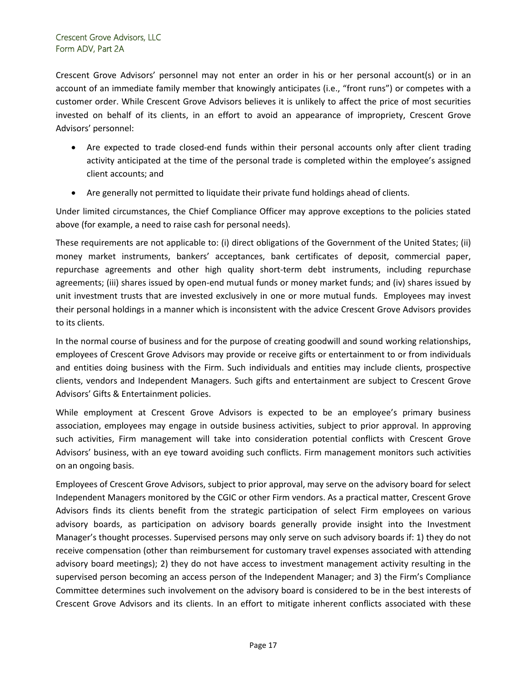Crescent Grove Advisors' personnel may not enter an order in his or her personal account(s) or in an account of an immediate family member that knowingly anticipates (i.e., "front runs") or competes with a customer order. While Crescent Grove Advisors believes it is unlikely to affect the price of most securities invested on behalf of its clients, in an effort to avoid an appearance of impropriety, Crescent Grove Advisors' personnel:

- Are expected to trade closed-end funds within their personal accounts only after client trading activity anticipated at the time of the personal trade is completed within the employee's assigned client accounts; and
- Are generally not permitted to liquidate their private fund holdings ahead of clients.

Under limited circumstances, the Chief Compliance Officer may approve exceptions to the policies stated above (for example, a need to raise cash for personal needs).

These requirements are not applicable to: (i) direct obligations of the Government of the United States; (ii) money market instruments, bankers' acceptances, bank certificates of deposit, commercial paper, repurchase agreements and other high quality short-term debt instruments, including repurchase agreements; (iii) shares issued by open-end mutual funds or money market funds; and (iv) shares issued by unit investment trusts that are invested exclusively in one or more mutual funds. Employees may invest their personal holdings in a manner which is inconsistent with the advice Crescent Grove Advisors provides to its clients.

In the normal course of business and for the purpose of creating goodwill and sound working relationships, employees of Crescent Grove Advisors may provide or receive gifts or entertainment to or from individuals and entities doing business with the Firm. Such individuals and entities may include clients, prospective clients, vendors and Independent Managers. Such gifts and entertainment are subject to Crescent Grove Advisors' Gifts & Entertainment policies.

While employment at Crescent Grove Advisors is expected to be an employee's primary business association, employees may engage in outside business activities, subject to prior approval. In approving such activities, Firm management will take into consideration potential conflicts with Crescent Grove Advisors' business, with an eye toward avoiding such conflicts. Firm management monitors such activities on an ongoing basis.

Employees of Crescent Grove Advisors, subject to prior approval, may serve on the advisory board for select Independent Managers monitored by the CGIC or other Firm vendors. As a practical matter, Crescent Grove Advisors finds its clients benefit from the strategic participation of select Firm employees on various advisory boards, as participation on advisory boards generally provide insight into the Investment Manager's thought processes. Supervised persons may only serve on such advisory boards if: 1) they do not receive compensation (other than reimbursement for customary travel expenses associated with attending advisory board meetings); 2) they do not have access to investment management activity resulting in the supervised person becoming an access person of the Independent Manager; and 3) the Firm's Compliance Committee determines such involvement on the advisory board is considered to be in the best interests of Crescent Grove Advisors and its clients. In an effort to mitigate inherent conflicts associated with these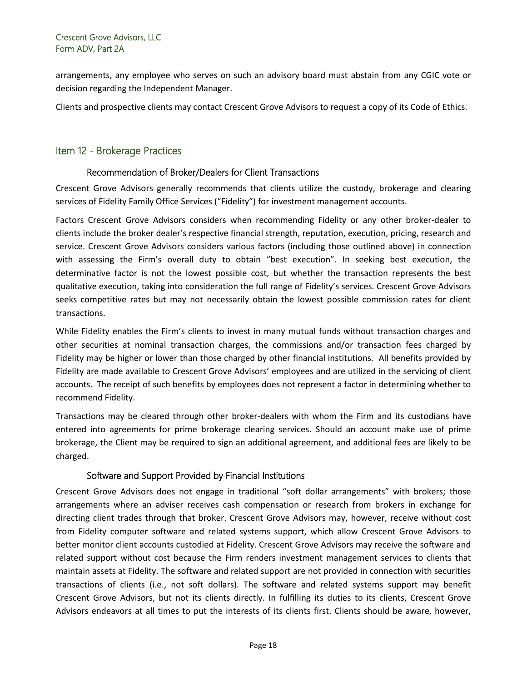arrangements, any employee who serves on such an advisory board must abstain from any CGIC vote or decision regarding the Independent Manager.

Clients and prospective clients may contact Crescent Grove Advisors to request a copy of its Code of Ethics.

# <span id="page-17-0"></span>Item 12 - Brokerage Practices

## Recommendation of Broker/Dealers for Client Transactions

Crescent Grove Advisors generally recommends that clients utilize the custody, brokerage and clearing services of Fidelity Family Office Services ("Fidelity") for investment management accounts.

Factors Crescent Grove Advisors considers when recommending Fidelity or any other broker-dealer to clients include the broker dealer's respective financial strength, reputation, execution, pricing, research and service. Crescent Grove Advisors considers various factors (including those outlined above) in connection with assessing the Firm's overall duty to obtain "best execution". In seeking best execution, the determinative factor is not the lowest possible cost, but whether the transaction represents the best qualitative execution, taking into consideration the full range of Fidelity's services. Crescent Grove Advisors seeks competitive rates but may not necessarily obtain the lowest possible commission rates for client transactions.

While Fidelity enables the Firm's clients to invest in many mutual funds without transaction charges and other securities at nominal transaction charges, the commissions and/or transaction fees charged by Fidelity may be higher or lower than those charged by other financial institutions. All benefits provided by Fidelity are made available to Crescent Grove Advisors' employees and are utilized in the servicing of client accounts. The receipt of such benefits by employees does not represent a factor in determining whether to recommend Fidelity.

Transactions may be cleared through other broker-dealers with whom the Firm and its custodians have entered into agreements for prime brokerage clearing services. Should an account make use of prime brokerage, the Client may be required to sign an additional agreement, and additional fees are likely to be charged.

## Software and Support Provided by Financial Institutions

Crescent Grove Advisors does not engage in traditional "soft dollar arrangements" with brokers; those arrangements where an adviser receives cash compensation or research from brokers in exchange for directing client trades through that broker. Crescent Grove Advisors may, however, receive without cost from Fidelity computer software and related systems support, which allow Crescent Grove Advisors to better monitor client accounts custodied at Fidelity. Crescent Grove Advisors may receive the software and related support without cost because the Firm renders investment management services to clients that maintain assets at Fidelity. The software and related support are not provided in connection with securities transactions of clients (i.e., not soft dollars). The software and related systems support may benefit Crescent Grove Advisors, but not its clients directly. In fulfilling its duties to its clients, Crescent Grove Advisors endeavors at all times to put the interests of its clients first. Clients should be aware, however,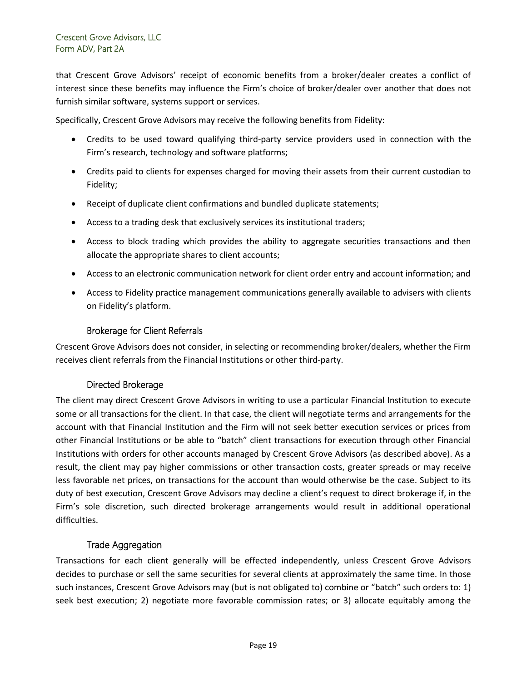that Crescent Grove Advisors' receipt of economic benefits from a broker/dealer creates a conflict of interest since these benefits may influence the Firm's choice of broker/dealer over another that does not furnish similar software, systems support or services.

Specifically, Crescent Grove Advisors may receive the following benefits from Fidelity:

- Credits to be used toward qualifying third-party service providers used in connection with the Firm's research, technology and software platforms;
- Credits paid to clients for expenses charged for moving their assets from their current custodian to Fidelity;
- Receipt of duplicate client confirmations and bundled duplicate statements;
- Access to a trading desk that exclusively services its institutional traders;
- Access to block trading which provides the ability to aggregate securities transactions and then allocate the appropriate shares to client accounts;
- Access to an electronic communication network for client order entry and account information; and
- Access to Fidelity practice management communications generally available to advisers with clients on Fidelity's platform.

#### Brokerage for Client Referrals

Crescent Grove Advisors does not consider, in selecting or recommending broker/dealers, whether the Firm receives client referrals from the Financial Institutions or other third-party.

#### Directed Brokerage

The client may direct Crescent Grove Advisors in writing to use a particular Financial Institution to execute some or all transactions for the client. In that case, the client will negotiate terms and arrangements for the account with that Financial Institution and the Firm will not seek better execution services or prices from other Financial Institutions or be able to "batch" client transactions for execution through other Financial Institutions with orders for other accounts managed by Crescent Grove Advisors (as described above). As a result, the client may pay higher commissions or other transaction costs, greater spreads or may receive less favorable net prices, on transactions for the account than would otherwise be the case. Subject to its duty of best execution, Crescent Grove Advisors may decline a client's request to direct brokerage if, in the Firm's sole discretion, such directed brokerage arrangements would result in additional operational difficulties.

#### Trade Aggregation

Transactions for each client generally will be effected independently, unless Crescent Grove Advisors decides to purchase or sell the same securities for several clients at approximately the same time. In those such instances, Crescent Grove Advisors may (but is not obligated to) combine or "batch" such orders to: 1) seek best execution; 2) negotiate more favorable commission rates; or 3) allocate equitably among the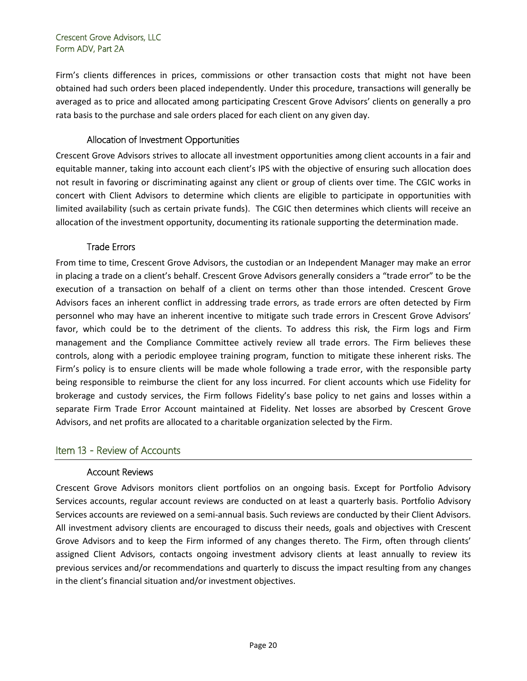Firm's clients differences in prices, commissions or other transaction costs that might not have been obtained had such orders been placed independently. Under this procedure, transactions will generally be averaged as to price and allocated among participating Crescent Grove Advisors' clients on generally a pro rata basis to the purchase and sale orders placed for each client on any given day.

## Allocation of Investment Opportunities

Crescent Grove Advisors strives to allocate all investment opportunities among client accounts in a fair and equitable manner, taking into account each client's IPS with the objective of ensuring such allocation does not result in favoring or discriminating against any client or group of clients over time. The CGIC works in concert with Client Advisors to determine which clients are eligible to participate in opportunities with limited availability (such as certain private funds). The CGIC then determines which clients will receive an allocation of the investment opportunity, documenting its rationale supporting the determination made.

# Trade Errors

From time to time, Crescent Grove Advisors, the custodian or an Independent Manager may make an error in placing a trade on a client's behalf. Crescent Grove Advisors generally considers a "trade error" to be the execution of a transaction on behalf of a client on terms other than those intended. Crescent Grove Advisors faces an inherent conflict in addressing trade errors, as trade errors are often detected by Firm personnel who may have an inherent incentive to mitigate such trade errors in Crescent Grove Advisors' favor, which could be to the detriment of the clients. To address this risk, the Firm logs and Firm management and the Compliance Committee actively review all trade errors. The Firm believes these controls, along with a periodic employee training program, function to mitigate these inherent risks. The Firm's policy is to ensure clients will be made whole following a trade error, with the responsible party being responsible to reimburse the client for any loss incurred. For client accounts which use Fidelity for brokerage and custody services, the Firm follows Fidelity's base policy to net gains and losses within a separate Firm Trade Error Account maintained at Fidelity. Net losses are absorbed by Crescent Grove Advisors, and net profits are allocated to a charitable organization selected by the Firm.

# Item 13 - Review of Accounts

## Account Reviews

Crescent Grove Advisors monitors client portfolios on an ongoing basis. Except for Portfolio Advisory Services accounts, regular account reviews are conducted on at least a quarterly basis. Portfolio Advisory Services accounts are reviewed on a semi-annual basis. Such reviews are conducted by their Client Advisors. All investment advisory clients are encouraged to discuss their needs, goals and objectives with Crescent Grove Advisors and to keep the Firm informed of any changes thereto. The Firm, often through clients' assigned Client Advisors, contacts ongoing investment advisory clients at least annually to review its previous services and/or recommendations and quarterly to discuss the impact resulting from any changes in the client's financial situation and/or investment objectives.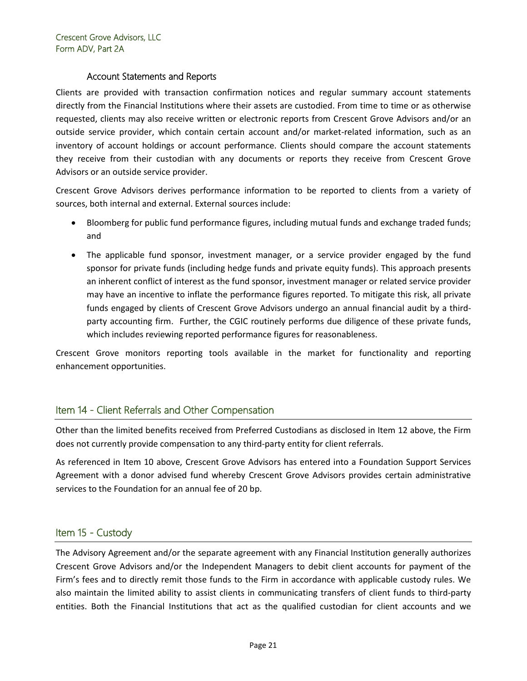#### Account Statements and Reports

Clients are provided with transaction confirmation notices and regular summary account statements directly from the Financial Institutions where their assets are custodied. From time to time or as otherwise requested, clients may also receive written or electronic reports from Crescent Grove Advisors and/or an outside service provider, which contain certain account and/or market-related information, such as an inventory of account holdings or account performance. Clients should compare the account statements they receive from their custodian with any documents or reports they receive from Crescent Grove Advisors or an outside service provider.

Crescent Grove Advisors derives performance information to be reported to clients from a variety of sources, both internal and external. External sources include:

- Bloomberg for public fund performance figures, including mutual funds and exchange traded funds; and
- The applicable fund sponsor, investment manager, or a service provider engaged by the fund sponsor for private funds (including hedge funds and private equity funds). This approach presents an inherent conflict of interest as the fund sponsor, investment manager or related service provider may have an incentive to inflate the performance figures reported. To mitigate this risk, all private funds engaged by clients of Crescent Grove Advisors undergo an annual financial audit by a thirdparty accounting firm. Further, the CGIC routinely performs due diligence of these private funds, which includes reviewing reported performance figures for reasonableness.

Crescent Grove monitors reporting tools available in the market for functionality and reporting enhancement opportunities.

# <span id="page-20-0"></span>Item 14 - Client Referrals and Other Compensation

Other than the limited benefits received from Preferred Custodians as disclosed in Item 12 above, the Firm does not currently provide compensation to any third-party entity for client referrals.

As referenced in Item 10 above, Crescent Grove Advisors has entered into a Foundation Support Services Agreement with a donor advised fund whereby Crescent Grove Advisors provides certain administrative services to the Foundation for an annual fee of 20 bp.

# <span id="page-20-1"></span>Item 15 - Custody

The Advisory Agreement and/or the separate agreement with any Financial Institution generally authorizes Crescent Grove Advisors and/or the Independent Managers to debit client accounts for payment of the Firm's fees and to directly remit those funds to the Firm in accordance with applicable custody rules. We also maintain the limited ability to assist clients in communicating transfers of client funds to third-party entities. Both the Financial Institutions that act as the qualified custodian for client accounts and we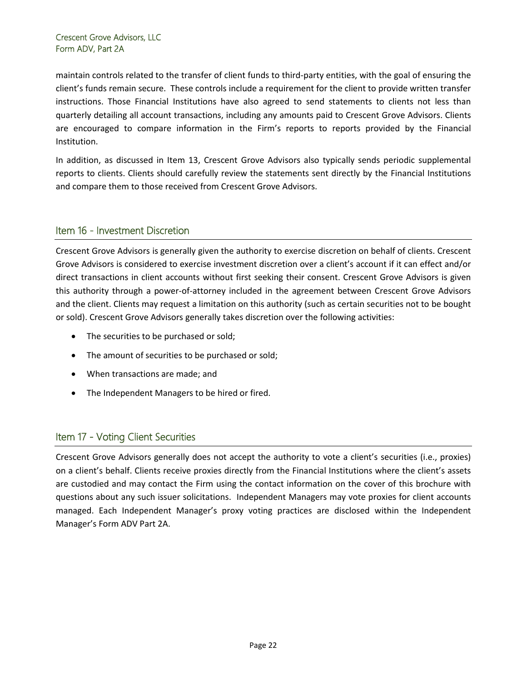maintain controls related to the transfer of client funds to third-party entities, with the goal of ensuring the client's funds remain secure. These controls include a requirement for the client to provide written transfer instructions. Those Financial Institutions have also agreed to send statements to clients not less than quarterly detailing all account transactions, including any amounts paid to Crescent Grove Advisors. Clients are encouraged to compare information in the Firm's reports to reports provided by the Financial Institution.

In addition, as discussed in Item 13, Crescent Grove Advisors also typically sends periodic supplemental reports to clients. Clients should carefully review the statements sent directly by the Financial Institutions and compare them to those received from Crescent Grove Advisors.

# <span id="page-21-0"></span>Item 16 - Investment Discretion

Crescent Grove Advisors is generally given the authority to exercise discretion on behalf of clients. Crescent Grove Advisors is considered to exercise investment discretion over a client's account if it can effect and/or direct transactions in client accounts without first seeking their consent. Crescent Grove Advisors is given this authority through a power-of-attorney included in the agreement between Crescent Grove Advisors and the client. Clients may request a limitation on this authority (such as certain securities not to be bought or sold). Crescent Grove Advisors generally takes discretion over the following activities:

- The securities to be purchased or sold;
- The amount of securities to be purchased or sold;
- When transactions are made; and
- The Independent Managers to be hired or fired.

# <span id="page-21-1"></span>Item 17 - Voting Client Securities

Crescent Grove Advisors generally does not accept the authority to vote a client's securities (i.e., proxies) on a client's behalf. Clients receive proxies directly from the Financial Institutions where the client's assets are custodied and may contact the Firm using the contact information on the cover of this brochure with questions about any such issuer solicitations. Independent Managers may vote proxies for client accounts managed. Each Independent Manager's proxy voting practices are disclosed within the Independent Manager's Form ADV Part 2A.